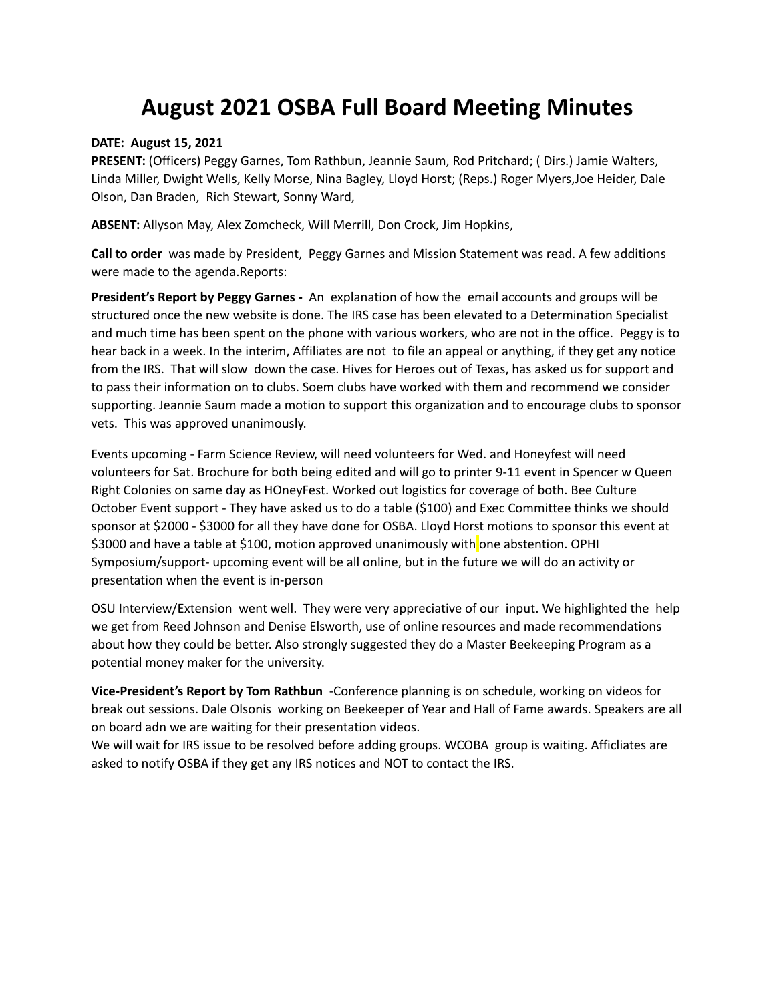## **August 2021 OSBA Full Board Meeting Minutes**

## **DATE: August 15, 2021**

**PRESENT:** (Officers) Peggy Garnes, Tom Rathbun, Jeannie Saum, Rod Pritchard; ( Dirs.) Jamie Walters, Linda Miller, Dwight Wells, Kelly Morse, Nina Bagley, Lloyd Horst; (Reps.) Roger Myers,Joe Heider, Dale Olson, Dan Braden, Rich Stewart, Sonny Ward,

**ABSENT:** Allyson May, Alex Zomcheck, Will Merrill, Don Crock, Jim Hopkins,

**Call to order** was made by President, Peggy Garnes and Mission Statement was read. A few additions were made to the agenda.Reports:

**President's Report by Peggy Garnes -** An explanation of how the email accounts and groups will be structured once the new website is done. The IRS case has been elevated to a Determination Specialist and much time has been spent on the phone with various workers, who are not in the office. Peggy is to hear back in a week. In the interim, Affiliates are not to file an appeal or anything, if they get any notice from the IRS. That will slow down the case. Hives for Heroes out of Texas, has asked us for support and to pass their information on to clubs. Soem clubs have worked with them and recommend we consider supporting. Jeannie Saum made a motion to support this organization and to encourage clubs to sponsor vets. This was approved unanimously.

Events upcoming - Farm Science Review, will need volunteers for Wed. and Honeyfest will need volunteers for Sat. Brochure for both being edited and will go to printer 9-11 event in Spencer w Queen Right Colonies on same day as HOneyFest. Worked out logistics for coverage of both. Bee Culture October Event support - They have asked us to do a table (\$100) and Exec Committee thinks we should sponsor at \$2000 - \$3000 for all they have done for OSBA. Lloyd [Horst](mailto:hlbeefarms@gmail.com) motions to sponsor this event at \$3000 and have a table at \$100, motion approved unanimously with one abstention. OPHI Symposium/support- upcoming event will be all online, but in the future we will do an activity or presentation when the event is in-person

OSU Interview/Extension went well. They were very appreciative of our input. We highlighted the help we get from Reed Johnson and Denise Elsworth, use of online resources and made recommendations about how they could be better. Also strongly suggested they do a Master Beekeeping Program as a potential money maker for the university.

**Vice-President's Report by Tom Rathbun** -Conference planning is on schedule, working on videos for break out sessions. Dale Olsonis working on Beekeeper of Year and Hall of Fame awards. Speakers are all on board adn we are waiting for their presentation videos.

We will wait for IRS issue to be resolved before adding groups. WCOBA group is waiting. Afficliates are asked to notify OSBA if they get any IRS notices and NOT to contact the IRS.